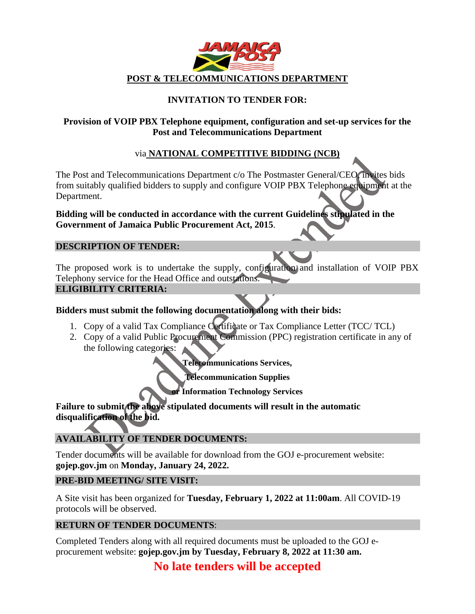

# **INVITATION TO TENDER FOR:**

## **Provision of VOIP PBX Telephone equipment, configuration and set-up services for the Post and Telecommunications Department**

## via **NATIONAL COMPETITIVE BIDDING (NCB)**

The Post and Telecommunications Department c/o The Postmaster General/CEO, invites bids from suitably qualified bidders to supply and configure VOIP PBX Telephone equipment at the Department.

## **Bidding will be conducted in accordance with the current Guidelines stipulated in the Government of Jamaica Public Procurement Act, 2015**.

#### **DESCRIPTION OF TENDER:**

The proposed work is to undertake the supply, configuration and installation of VOIP PBX Telephony service for the Head Office and outstations.

#### **ELIGIBILITY CRITERIA:**

## **Bidders must submit the following documentation along with their bids:**

- 1. Copy of a valid Tax Compliance Certificate or Tax Compliance Letter (TCC/ TCL)
- 2. Copy of a valid Public Procurement Commission (PPC) registration certificate in any of the following categories:

**Telecommunications Services,**

**Telecommunication Supplies**

**or Information Technology Services**

**Failure to submit the above stipulated documents will result in the automatic disqualification of the bid.**

# **AVAILABILITY OF TENDER DOCUMENTS:**

Tender documents will be available for download from the GOJ e-procurement website: **gojep.gov.jm** on **Monday, January 24, 2022.**

#### **PRE-BID MEETING/ SITE VISIT:**

A Site visit has been organized for **Tuesday, February 1, 2022 at 11:00am**. All COVID-19 protocols will be observed.

## **RETURN OF TENDER DOCUMENTS**:

Completed Tenders along with all required documents must be uploaded to the GOJ eprocurement website: **gojep.gov.jm by Tuesday, February 8, 2022 at 11:30 am.** 

# **No late tenders will be accepted**